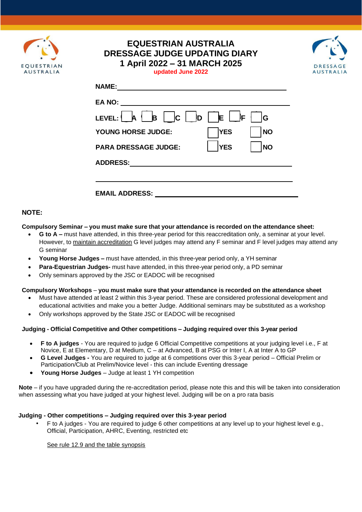

# **EQUESTRIAN AUSTRALIA DRESSAGE JUDGE UPDATING DIARY 1 April 2022 – 31 MARCH 2025 updated June 2022**



| <b>NAME:</b>                                                                  |
|-------------------------------------------------------------------------------|
| EA NO:                                                                        |
| $\mathbf{B}$ $\mathbf{C}$ $\mathbf{D}$<br>E<br><b>A</b><br>١F<br>LEVEL:<br>lG |
| <b>NO</b><br><b>YES</b><br><b>YOUNG HORSE JUDGE:</b>                          |
| <b>NO</b><br><b>YES</b><br><b>PARA DRESSAGE JUDGE:</b>                        |
| <b>ADDRESS:</b>                                                               |
|                                                                               |
| <b>EMAIL ADDRESS:</b>                                                         |

## **NOTE:**

#### **Compulsory Seminar – you must make sure that your attendance is recorded on the attendance sheet:**

- **G to A –** must have attended, in this three-year period for this reaccreditation only, a seminar at your level. However, to maintain accreditation G level judges may attend any F seminar and F level judges may attend any G seminar
- **Young Horse Judges –** must have attended, in this three-year period only, a YH seminar
- **Para-Equestrian Judges-** must have attended, in this three-year period only, a PD seminar
- Only seminars approved by the JSC or EADOC will be recognised

#### **Compulsory Workshops** – **you must make sure that your attendance is recorded on the attendance sheet**

- Must have attended at least 2 within this 3-year period. These are considered professional development and educational activities and make you a better Judge. Additional seminars may be substituted as a workshop
- Only workshops approved by the State JSC or EADOC will be recognised

#### **Judging - Official Competitive and Other competitions – Judging required over this 3-year period**

- **F to A judges**  You are required to judge 6 Official Competitive competitions at your judging level i.e., F at Novice, E at Elementary, D at Medium, C – at Advanced, B at PSG or Inter I, A at Inter A to GP
- **G Level Judges -** You are required to judge at 6 competitions over this 3-year period Official Prelim or Participation/Club at Prelim/Novice level - this can include Eventing dressage
- **Young Horse Judges**  Judge at least 1 YH competition

**Note** – if you have upgraded during the re-accreditation period, please note this and this will be taken into consideration when assessing what you have judged at your highest level. Judging will be on a pro rata basis

## **Judging - Other competitions – Judging required over this 3-year period**

• F to A judges - You are required to judge 6 other competitions at any level up to your highest level e.g., Official, Participation, AHRC, Eventing, restricted etc

See rule 12.9 and the table synopsis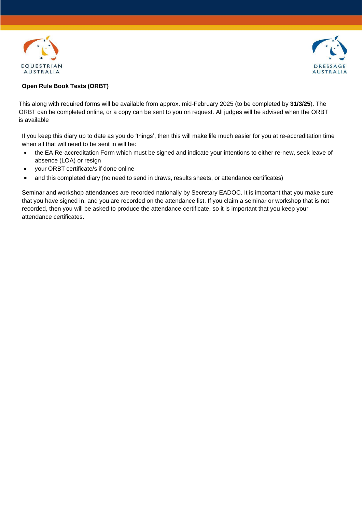



### **Open Rule Book Tests (ORBT)**

This along with required forms will be available from approx. mid-February 2025 (to be completed by **31/3/25**). The ORBT can be completed online, or a copy can be sent to you on request. All judges will be advised when the ORBT is available

If you keep this diary up to date as you do 'things', then this will make life much easier for you at re-accreditation time when all that will need to be sent in will be:

- the EA Re-accreditation Form which must be signed and indicate your intentions to either re-new, seek leave of absence (LOA) or resign
- your ORBT certificate/s if done online
- and this completed diary (no need to send in draws, results sheets, or attendance certificates)

Seminar and workshop attendances are recorded nationally by Secretary EADOC. It is important that you make sure that you have signed in, and you are recorded on the attendance list. If you claim a seminar or workshop that is not recorded, then you will be asked to produce the attendance certificate, so it is important that you keep your attendance certificates.